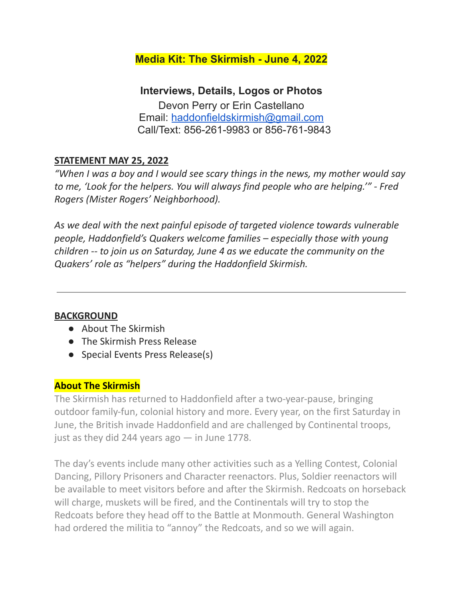## **Media Kit: The Skirmish - June 4, 2022**

**Interviews, Details, Logos or Photos** Devon Perry or Erin Castellano Email: [haddonfieldskirmish@gmail.com](mailto:haddonfieldskirmish@gmail.com) Call/Text: 856-261-9983 or 856-761-9843

## **STATEMENT MAY 25, 2022**

*"When I was a boy and I would see scary things in the news, my mother would say to me, 'Look for the helpers. You will always find people who are helping.'" - Fred Rogers (Mister Rogers' Neighborhood).*

*As we deal with the next painful episode of targeted violence towards vulnerable people, Haddonfield's Quakers welcome families – especially those with young children -- to join us on Saturday, June 4 as we educate the community on the Quakers' role as "helpers" during the Haddonfield Skirmish.*

## **BACKGROUND**

- About The Skirmish
- The Skirmish Press Release
- Special Events Press Release(s)

## **About The Skirmish**

The Skirmish has returned to Haddonfield after a two-year-pause, bringing outdoor family-fun, colonial history and more. Every year, on the first Saturday in June, the British invade Haddonfield and are challenged by Continental troops, just as they did 244 years ago  $-$  in June 1778.

The day's events include many other activities such as a Yelling Contest, Colonial Dancing, Pillory Prisoners and Character reenactors. Plus, Soldier reenactors will be available to meet visitors before and after the Skirmish. Redcoats on horseback will charge, muskets will be fired, and the Continentals will try to stop the Redcoats before they head off to the Battle at Monmouth. General Washington had ordered the militia to "annoy" the Redcoats, and so we will again.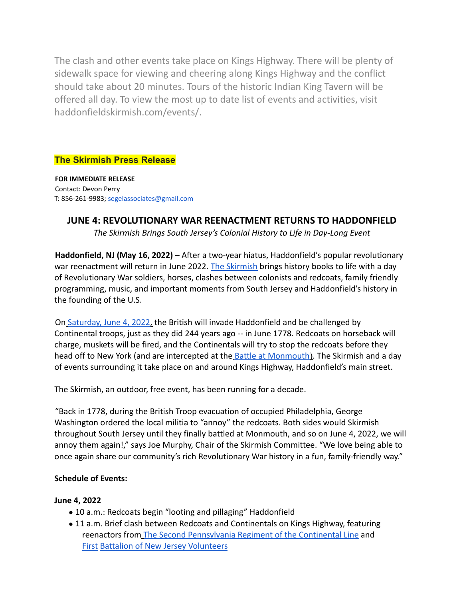The clash and other events take place on Kings Highway. There will be plenty of sidewalk space for viewing and cheering along Kings Highway and the conflict should take about 20 minutes. Tours of the historic Indian King Tavern will be offered all day. To view the most up to date list of events and activities, visit haddonfieldskirmish.com/events/.

## **The Skirmish Press Release**

**FOR IMMEDIATE RELEASE** Contact: Devon Perry T: 856-261-9983; segelassociates@gmail.com

## **JUNE 4: REVOLUTIONARY WAR REENACTMENT RETURNS TO HADDONFIELD**

*The Skirmish Brings South Jersey's Colonial History to Life in Day-Long Event*

**Haddonfield, NJ (May 16, 2022)** – After a two-year hiatus, Haddonfield's popular revolutionary war reenactment will return in June 2022. The Skirmish brings history books to life with a day of Revolutionary War soldiers, horses, clashes between colonists and redcoats, family friendly programming, music, and important moments from South Jersey and Haddonfield's history in the founding of the U.S.

On Saturday, June 4, 2022, the British will invade Haddonfield and be challenged by Continental troops, just as they did 244 years ago -- in June 1778. Redcoats on horseback will charge, muskets will be fired, and the Continentals will try to stop the redcoats before they head off to New York (and are intercepted at the **Battle at Monmouth**). The Skirmish and a day of events surrounding it take place on and around Kings Highway, Haddonfield's main street.

The Skirmish, an outdoor, free event, has been running for a decade.

"Back in 1778, during the British Troop evacuation of occupied Philadelphia, George Washington ordered the local militia to "annoy" the redcoats. Both sides would Skirmish throughout South Jersey until they finally battled at Monmouth, and so on June 4, 2022, we will annoy them again!," says Joe Murphy, Chair of the Skirmish Committee. "We love being able to once again share our community's rich Revolutionary War history in a fun, family-friendly way."

#### **Schedule of Events:**

#### **June 4, 2022**

- 10 a.m.: Redcoats begin "looting and pillaging" Haddonfield
- 11 a.m. Brief clash between Redcoats and Continentals on Kings Highway, featuring reenactors from The Second Pennsylvania Regiment of the Continental Line and First Battalion of New Jersey Volunteers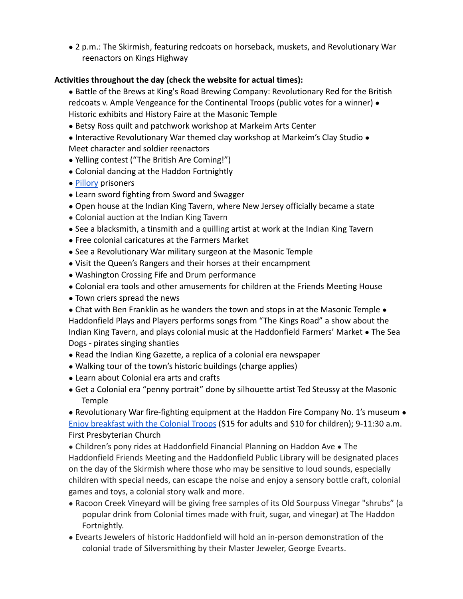● 2 p.m.: The Skirmish, featuring redcoats on horseback, muskets, and Revolutionary War reenactors on Kings Highway

#### **Activities throughout the day (check the website for actual times):**

- Battle of the Brews at King's Road Brewing Company: Revolutionary Red for the British redcoats v. Ample Vengeance for the Continental Troops (public votes for a winner) • Historic exhibits and History Faire at the Masonic Temple
- Betsy Ross quilt and patchwork workshop at Markeim Arts Center
- Interactive Revolutionary War themed clay workshop at Markeim's Clay Studio Meet character and soldier reenactors
- Yelling contest ("The British Are Coming!")
- Colonial dancing at the Haddon Fortnightly
- Pillory prisoners
- Learn sword fighting from Sword and Swagger
- Open house at the Indian King Tavern, where New Jersey officially became a state
- Colonial auction at the Indian King Tavern
- See a blacksmith, a tinsmith and a quilling artist at work at the Indian King Tavern
- Free colonial caricatures at the Farmers Market
- See a Revolutionary War military surgeon at the Masonic Temple
- Visit the Queen's Rangers and their horses at their encampment
- Washington Crossing Fife and Drum performance
- Colonial era tools and other amusements for children at the Friends Meeting House
- Town criers spread the news
- Chat with Ben Franklin as he wanders the town and stops in at the Masonic Temple Haddonfield Plays and Players performs songs from "The Kings Road" a show about the Indian King Tavern, and plays colonial music at the Haddonfield Farmers' Market ● The Sea Dogs - pirates singing shanties
- Read the Indian King Gazette, a replica of a colonial era newspaper
- Walking tour of the town's historic buildings (charge applies)
- Learn about Colonial era arts and crafts
- Get a Colonial era "penny portrait" done by silhouette artist Ted Steussy at the Masonic Temple

● Revolutionary War fire-fighting equipment at the Haddon Fire Company No. 1's museum ● Enjoy breakfast with the Colonial Troops (\$15 for adults and \$10 for children); 9-11:30 a.m. First Presbyterian Church

● Children's pony rides at Haddonfield Financial Planning on Haddon Ave ● The Haddonfield Friends Meeting and the Haddonfield Public Library will be designated places on the day of the Skirmish where those who may be sensitive to loud sounds, especially children with special needs, can escape the noise and enjoy a sensory bottle craft, colonial games and toys, a colonial story walk and more.

- Racoon Creek Vineyard will be giving free samples of its Old Sourpuss Vinegar "shrubs" (a popular drink from Colonial times made with fruit, sugar, and vinegar) at The Haddon Fortnightly.
- Evearts Jewelers of historic Haddonfield will hold an in-person demonstration of the colonial trade of Silversmithing by their Master Jeweler, George Evearts.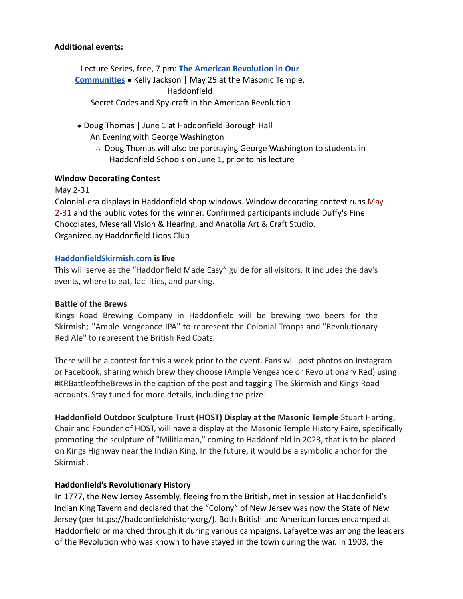#### **Additional events:**

Lecture Series, free, 7 pm: **The American Revolution in Our Communities** ● Kelly Jackson | May 25 at the Masonic Temple, Haddonfield Secret Codes and Spy-craft in the American Revolution

- Doug Thomas | June 1 at Haddonfield Borough Hall An Evening with George Washington
	- o Doug Thomas will also be portraying George Washington to students in Haddonfield Schools on June 1, prior to his lecture

#### **Window Decorating Contest**

May 2-31

Colonial-era displays in Haddonfield shop windows. Window decorating contest runs May 2-31 and the public votes for the winner. Confirmed participants include Duffy's Fine Chocolates, Meserall Vision & Hearing, and Anatolia Art & Craft Studio. Organized by Haddonfield Lions Club

#### **HaddonfieldSkirmish.com is live**

This will serve as the "Haddonfield Made Easy" guide for all visitors. It includes the day's events, where to eat, facilities, and parking.

#### **Battle of the Brews**

Kings Road Brewing Company in Haddonfield will be brewing two beers for the Skirmish; "Ample Vengeance IPA" to represent the Colonial Troops and "Revolutionary Red Ale" to represent the British Red Coats.

There will be a contest for this a week prior to the event. Fans will post photos on Instagram or Facebook, sharing which brew they choose (Ample Vengeance or Revolutionary Red) using #KRBattleoftheBrews in the caption of the post and tagging The Skirmish and Kings Road accounts. Stay tuned for more details, including the prize!

**Haddonfield Outdoor Sculpture Trust (HOST) Display at the Masonic Temple** Stuart Harting, Chair and Founder of HOST, will have a display at the Masonic Temple History Faire, specifically promoting the sculpture of "Militiaman," coming to Haddonfield in 2023, that is to be placed on Kings Highway near the Indian King. In the future, it would be a symbolic anchor for the Skirmish.

#### **Haddonfield's Revolutionary History**

In 1777, the New Jersey Assembly, fleeing from the British, met in session at Haddonfield's Indian King Tavern and declared that the "Colony" of New Jersey was now the State of New Jersey (per https://haddonfieldhistory.org/). Both British and American forces encamped at Haddonfield or marched through it during various campaigns. Lafayette was among the leaders of the Revolution who was known to have stayed in the town during the war. In 1903, the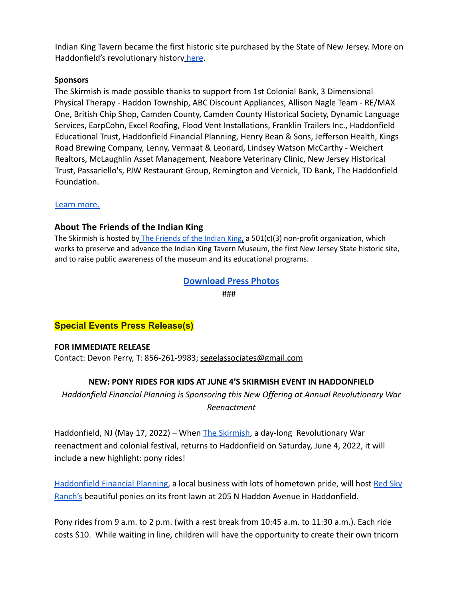Indian King Tavern became the first historic site purchased by the State of New Jersey. More on Haddonfield's revolutionary history here.

#### **Sponsors**

The Skirmish is made possible thanks to support from 1st Colonial Bank, 3 Dimensional Physical Therapy - Haddon Township, ABC Discount Appliances, Allison Nagle Team - RE/MAX One, British Chip Shop, Camden County, Camden County Historical Society, Dynamic Language Services, EarpCohn, Excel Roofing, Flood Vent Installations, Franklin Trailers Inc., Haddonfield Educational Trust, Haddonfield Financial Planning, Henry Bean & Sons, Jefferson Health, Kings Road Brewing Company, Lenny, Vermaat & Leonard, Lindsey Watson McCarthy - Weichert Realtors, McLaughlin Asset Management, Neabore Veterinary Clinic, New Jersey Historical Trust, Passariello's, PJW Restaurant Group, Remington and Vernick, TD Bank, The Haddonfield Foundation.

#### Learn more.

#### **About The Friends of the Indian King**

The Skirmish is hosted by The Friends of the Indian King, a  $501(c)(3)$  non-profit organization, which works to preserve and advance the Indian King Tavern Museum, the first New Jersey State historic site, and to raise public awareness of the museum and its educational programs.

#### **Download Press Photos**

###

#### **Special Events Press Release(s)**

#### **FOR IMMEDIATE RELEASE**

Contact: Devon Perry, T: 856-261-9983; [segelassociates@gmail.com](mailto:segelassociates@gmail.com)

#### **NEW: PONY RIDES FOR KIDS AT JUNE 4'S SKIRMISH EVENT IN HADDONFIELD**

*Haddonfield Financial Planning is Sponsoring this New Offering at Annual Revolutionary War Reenactment*

Haddonfield, NJ (May 17, 2022) – When [The Skirmish,](https://www.indiankingfriends.org/skirmish2022/) a day-long Revolutionary War reenactment and colonial festival, returns to Haddonfield on Saturday, June 4, 2022, it will include a new highlight: pony rides!

[Haddonfield Financial Planning](https://www.hfponline.com/), a local business with lots of hometown pride, will host [Red Sky](https://www.redskyranchnj.com/about-the-farm) [Ranch's](https://www.redskyranchnj.com/about-the-farm) beautiful ponies on its front lawn at 205 N Haddon Avenue in Haddonfield.

Pony rides from 9 a.m. to 2 p.m. (with a rest break from 10:45 a.m. to 11:30 a.m.). Each ride costs \$10. While waiting in line, children will have the opportunity to create their own tricorn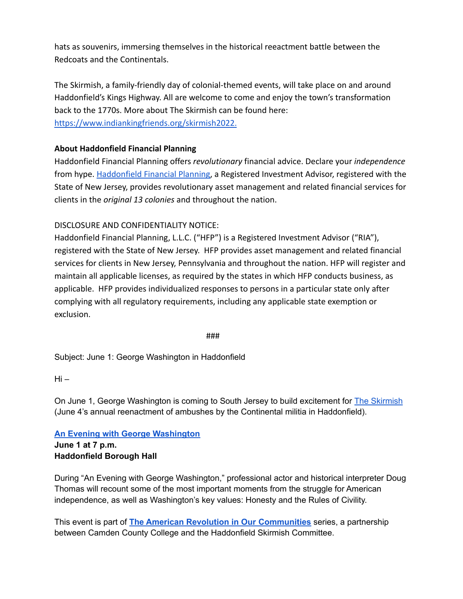hats as souvenirs, immersing themselves in the historical reeactment battle between the Redcoats and the Continentals.

The Skirmish, a family-friendly day of colonial-themed events, will take place on and around Haddonfield's Kings Highway. All are welcome to come and enjoy the town's transformation back to the 1770s. More about The Skirmish can be found here: <https://www.indiankingfriends.org/skirmish2022>.

#### **About Haddonfield Financial Planning**

Haddonfield Financial Planning offers *revolutionary* financial advice. Declare your *independence* from hype. [Haddonfield Financial Planning](https://www.hfponline.com/), a Registered Investment Advisor, registered with the State of New Jersey, provides revolutionary asset management and related financial services for clients in the *original 13 colonies* and throughout the nation.

#### DISCLOSURE AND CONFIDENTIALITY NOTICE:

Haddonfield Financial Planning, L.L.C. ("HFP") is a Registered Investment Advisor ("RIA"), registered with the State of New Jersey. HFP provides asset management and related financial services for clients in New Jersey, Pennsylvania and throughout the nation. HFP will register and maintain all applicable licenses, as required by the states in which HFP conducts business, as applicable. HFP provides individualized responses to persons in a particular state only after complying with all regulatory requirements, including any applicable state exemption or exclusion.

###

Subject: June 1: George Washington in Haddonfield

Hi –

On June 1, George Washington is coming to South Jersey to build excitement for The [Skirmish](https://haddonfieldskirmish.com/) (June 4's annual reenactment of ambushes by the Continental militia in Haddonfield).

# **An Evening with George [Washington](https://www.indiankingfriends.org/the-american-revolution-in-our-communities/)**

**June 1 at 7 p.m. Haddonfield Borough Hall**

During "An Evening with George Washington," professional actor and historical interpreter Doug Thomas will recount some of the most important moments from the struggle for American independence, as well as Washington's key values: Honesty and the Rules of Civility.

This event is part of **The American Revolution in Our [Communities](https://www.indiankingfriends.org/the-american-revolution-in-our-communities/)** series, a partnership between Camden County College and the Haddonfield Skirmish Committee.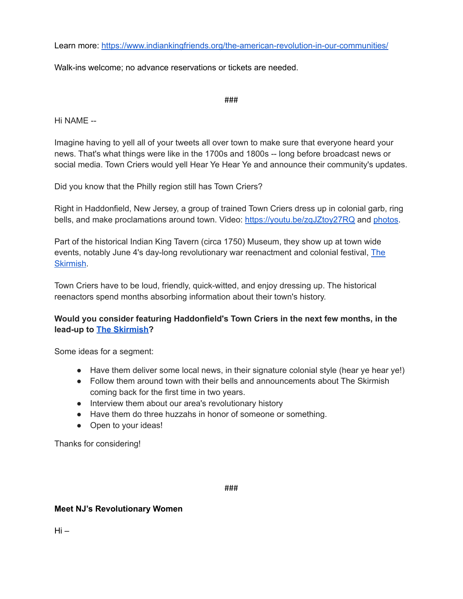Learn more: <https://www.indiankingfriends.org/the-american-revolution-in-our-communities/>

Walk-ins welcome; no advance reservations or tickets are needed.

###

Hi NAME --

Imagine having to yell all of your tweets all over town to make sure that everyone heard your news. That's what things were like in the 1700s and 1800s -- long before broadcast news or social media. Town Criers would yell Hear Ye Hear Ye and announce their community's updates.

Did you know that the Philly region still has Town Criers?

Right in Haddonfield, New Jersey, a group of trained Town Criers dress up in colonial garb, ring bells, and make proclamations around town. Video: <https://youtu.be/zqJZtoy27RQ> and [photos](https://drive.google.com/drive/folders/1E925yTaVR9jIt8fUTHAzaiOC36WfsvqM?usp=sharing).

Part of the historical Indian King Tavern (circa 1750) Museum, they show up at town wide events, notably June 4's day-long revolutionary war reenactment and colonial festival, [The](https://www.indiankingfriends.org/skirmish2022/) [Skirmish](https://www.indiankingfriends.org/skirmish2022/).

Town Criers have to be loud, friendly, quick-witted, and enjoy dressing up. The historical reenactors spend months absorbing information about their town's history.

### **Would you consider featuring Haddonfield's Town Criers in the next few months, in the lead-up to The [Skirmish?](https://www.indiankingfriends.org/skirmish2022/)**

Some ideas for a segment:

- Have them deliver some local news, in their signature colonial style (hear ye hear ye!)
- Follow them around town with their bells and announcements about The Skirmish coming back for the first time in two years.
- Interview them about our area's revolutionary history
- Have them do three huzzahs in honor of someone or something.
- Open to your ideas!

Thanks for considering!

###

#### **Meet NJ's Revolutionary Women**

 $Hi -$